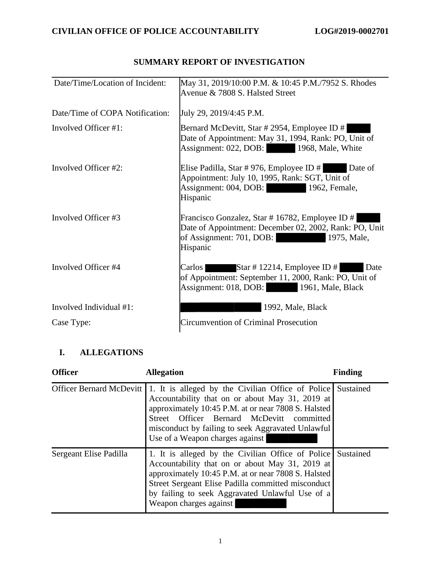| Date/Time/Location of Incident: | May 31, 2019/10:00 P.M. & 10:45 P.M./7952 S. Rhodes<br>Avenue & 7808 S. Halsted Street                                                                           |
|---------------------------------|------------------------------------------------------------------------------------------------------------------------------------------------------------------|
| Date/Time of COPA Notification: | July 29, 2019/4:45 P.M.                                                                                                                                          |
| Involved Officer #1:            | Bernard McDevitt, Star # 2954, Employee ID #<br>Date of Appointment: May 31, 1994, Rank: PO, Unit of<br>Assignment: 022, DOB: 1968, Male, White                  |
| Involved Officer #2:            | Elise Padilla, Star #976, Employee ID $#$ Date of<br>Appointment: July 10, 1995, Rank: SGT, Unit of<br>Assignment: 004, DOB: 1962, Female,<br>Hispanic           |
| Involved Officer #3             | Francisco Gonzalez, Star # 16782, Employee ID #<br>Date of Appointment: December 02, 2002, Rank: PO, Unit<br>of Assignment: 701, DOB:<br>1975, Male,<br>Hispanic |
| Involved Officer #4             | Carlos I<br>Star # 12214, Employee ID #<br>Date<br>of Appointment: September 11, 2000, Rank: PO, Unit of<br>Assignment: 018, DOB: 1961, Male, Black              |
| Involved Individual #1:         | 1992, Male, Black                                                                                                                                                |
| Case Type:                      | <b>Circumvention of Criminal Prosecution</b>                                                                                                                     |

# SUMMARY REPORT OF INVESTIGATION **SUMMARY REPORT OF INVESTIGATION**

## I. ALLEGATIONS **I. ALLEGATIONS**

| <b>Officer</b>         | <b>Allegation</b>                                                                                                                                                                                                                                                                                                                   | <b>Finding</b> |
|------------------------|-------------------------------------------------------------------------------------------------------------------------------------------------------------------------------------------------------------------------------------------------------------------------------------------------------------------------------------|----------------|
|                        | Officer Bernard McDevitt 1. It is alleged by the Civilian Office of Police Sustained<br>Accountability that on or about May 31, 2019 at<br>approximately 10:45 P.M. at or near 7808 S. Halsted<br>Street Officer Bernard McDevitt committed<br>misconduct by failing to seek Aggravated Unlawful<br>Use of a Weapon charges against |                |
| Sergeant Elise Padilla | 1. It is alleged by the Civilian Office of Police Sustained<br>Accountability that on or about May 31, 2019 at<br>approximately 10:45 P.M. at or near 7808 S. Halsted<br>Street Sergeant Elise Padilla committed misconduct<br>by failing to seek Aggravated Unlawful Use of a<br>Weapon charges against                            |                |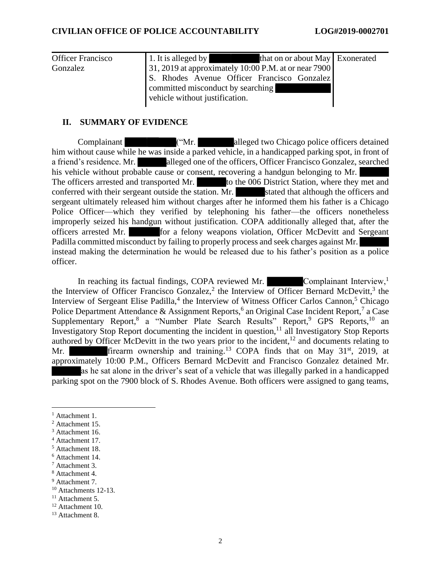| <b>Officer Francisco</b><br>Gonzalez | 1. It is alleged by<br>that on or about May Exonerated<br><u> a stronger i skriver i skriver i skriver i skriver i skriver i skriver i skriver i skriver i skriver i skriver i skriver i skriver i skriver i skriver i skriver i skriver i skriver i skriver i skriver i skriver i skriver</u><br>31, 2019 at approximately 10:00 P.M. at or near 7900 |  |
|--------------------------------------|--------------------------------------------------------------------------------------------------------------------------------------------------------------------------------------------------------------------------------------------------------------------------------------------------------------------------------------------------------|--|
|                                      | S. Rhodes Avenue Officer Francisco Gonzalez                                                                                                                                                                                                                                                                                                            |  |
|                                      | committed misconduct by searching<br>vehicle without justification.                                                                                                                                                                                                                                                                                    |  |

## II. SUMMARY OF EVIDENCE **II. SUMMARY OF EVIDENCE**

Complainant ("Mr. alleged two Chicago police officers detained Complainant ("Mr. alleged two Chicago police officers detained<br>him without cause while he was inside a parked vehicle, in a handicapped parking spot, in front of a friend's residence. Mr. alleged one of the officers, Officer Francisco Gonzalez, searched<br>his vehicle without probable cause or consent, recovering a handgun belonging to Mr. his vehicle without probable cause or consent, recovering a handgun belonging to Mr. The officers arrested and transported Mr. to the 006 District Station, where they met and conferred with their sergeant outside the station. Mr. stated that although the officers and sergeant ultimately released him without charges after he informed them his father is a Chicago Police Officer—which they verified by telephoning his father—the officers nonetheless improperly seized his handgun without justification. COPA additionally alleged that, after the officers arrested Mr. for a felony weapons violation, Officer McDevitt and Sergeant Padilla committed misconduct by failing to properly process and seek charges against Mr. officers arrested Mr. **Example 15 and 16 and 16 and 16 and 16 and 16 and 16 and 16 and 16 and 16 and 16 and 16 and 16 and 16 and 16 and 16 and 16 and 16 and 16 and 16 and 16 and 16 and 16 and 16 and 16 and 16 and 16 and 16** officer. officer. conferred with their sergeant outside the station. Mr.<br>stated that although the officers and<br>sergeant ultimately released him without charges after he informed them his father is a Chicago<br>Police Officer—which they verifie

In reaching its factual findings, COPA reviewed Mr. Complainant Interview,<sup>1</sup> the Interview of Officer Francisco Gonzalez,<sup>2</sup> the Interview of Officer Bernard McDevitt,<sup>3</sup> the the Interview of Officer Francisco Gonzalez,<sup>2</sup> the Interview of Officer Bernard McDevitt,<sup>3</sup> the Interview of Witness Officer Carlos Cannon,<sup>5</sup> Chicago Police Department Attendance & Assignment Reports,<sup>6</sup> an Original Case Incident Report,<sup>7</sup> a Case Police Department Attendance & Assignment Reports,<sup>6</sup> an Original Case Incident Report,<sup>7</sup> a Case Supplementary Report,<sup>8</sup> a "Number Plate Search Results" Report,<sup>9</sup> GPS Reports,<sup>10</sup> an Investigatory Stop Report documenting the incident in question, $<sup>11</sup>$  all Investigatory Stop Reports</sup> Investigatory Stop Report documenting the incident in question,<sup>11</sup> all Investigatory Stop Reports authored by Officer McDevitt in the two years prior to the incident,<sup>12</sup> and documents relating to Mr. firearm ownership and training.<sup>13</sup> COPA finds that on May 31<sup>st</sup>, 2019, at approximately 10:00 P.M., Officers Bernard McDevitt and Francisco Gonzalez detained Mr. as he sat alone in the driver's seat of a vehicle that approximately 10:00 P.M., Officers Bernard McDevitt and Francisco Gonzalez detained Mr. as he sat alone in the driver's seat of a vehicle that was illegally parked in a handicapped parking spot on the 7900 block of S. Rhodes Avenue. Both officers were assigned to gang teams, parking spot on the 7900 block of S. Rhodes Avenue. Both officers were assigned to gang teams, Interview of Sergeant Elise Padilla,<sup>4</sup> the Interview of Witness Officer Carlos Cannon,<sup>5</sup> Chicago Police Department Attendance & Assignment Reports,<sup>6</sup> an Original Case Incident Report,<sup>7</sup> a Case authored by Officer McDevitt in the two years prior to the incident,<sup>12</sup> and documents relating to Mr. **firm** ownership and training.<sup>13</sup> COPA finds that on May  $31<sup>st</sup>$ , 2019, at

<sup>12</sup> Attachment 10. <sup>12</sup> Attachment 10.

<sup>1</sup> Attachment 1. <sup>1</sup> Attachment 1.

<sup>2</sup> Attachment 15. <sup>2</sup> Attachment 15.

<sup>3</sup> Attachment 16. <sup>3</sup> Attachment 16.

<sup>4</sup> Attachment 17. <sup>4</sup> Attachment 17.

<sup>5</sup> Attachment 18. <sup>5</sup> Attachment 18.

<sup>6</sup> Attachment 14. <sup>6</sup> Attachment 14.

Attachment 3. <sup>7</sup> Attachment 3.

<sup>8</sup> Attachment 4. <sup>8</sup> Attachment 4.

<sup>9</sup> Attachment 7. <sup>9</sup> Attachment 7.

<sup>1°</sup> Attachments 12-13. <sup>10</sup> Attachments 12-13.

<sup>11</sup> Attachment 5. <sup>11</sup> Attachment 5.

<sup>13</sup> Attachment 8. <sup>13</sup> Attachment 8.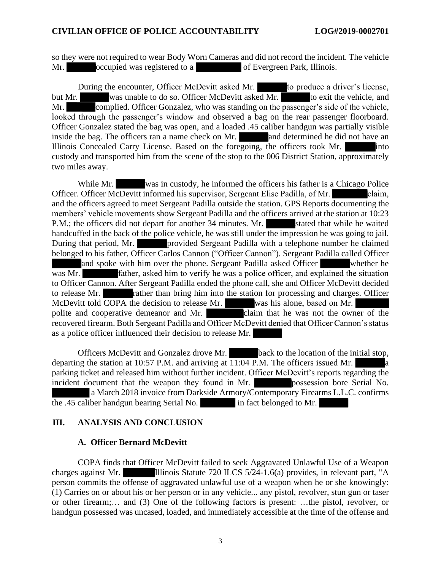so they were not required to wear Body Worn Cameras and did not record the incident. The vehicle Mr. **Solution** occupied was registered to a **of Evergreen Park**, Illinois.

During the encounter, Officer McDevitt asked Mr. to produce a driver's license, So they were not required to wear Body Worn Cameras and did not record the incident. The vehicle<br>Mr.<br>During the encounter, Officer McDevitt asked Mr.<br>but Mr.<br>was unable to do so. Officer McDevitt asked Mr.<br>to produce a dri Mr. complied. Officer Gonzalez, who was standing on the passenger's side of the vehicle, looked through the passenger's window and observed a bag on the rear passenger floorboard. Officer Gonzalez stated the bag was open, and a loaded .45 caliber handgun was partially visible inside the bag. The officers ran a name check on Mr. and determined he did not have an Mr. Complied. Officer Gonzalez, who was standing on the passenger's side of the vehicle, looked through the passenger's window and observed a bag on the rear passenger floorboard. Officer Gonzalez stated the bag was open, custody and transported him from the scene of the stop to the 006 District Station, approximately custody and transported him from the scene of the stop to the 006 District Station, approximately two miles away. two miles away.

While Mr. was in custody, he informed the officers his father is a Chicago Police Officer. Officer McDevitt informed his supervisor, Sergeant Elise Padilla, of Mr. claim, While Mr. was in custody, he informed the officers his father is a Chicago Police<br>Officer. Officer McDevitt informed his supervisor, Sergeant Elise Padilla, of Mr. claim,<br>and the officers agreed to meet Sergeant Padilla ou members' vehicle movements show Sergeant Padilla and the officers arrived at the station at 10:23<br>P.M.; the officers did not depart for another 34 minutes. Mr. stated that while he waited P.M.; the officers did not depart for another 34 minutes. Mr. stated that while he waited handcuffed in the back of the police vehicle, he was still under the impression he was going to jail. handcuffed in the back of the police vehicle, he was still under the impression he was going to jail.<br>During that period, Mr. provided Sergeant Padilla with a telephone number he claimed belonged to his father, Officer Carlos Cannon ("Officer Cannon"). Sergeant Padilla called Officer belonged to his father, Officer Carlos Cannon ("Officer Cannon"). Sergeant Padilla called Officer and spoke with him over the phone. Sergeant Padilla asked Officer whether he was Mr. **Father, asked him to verify he was a police officer, and explained the situation** to Officer Cannon. After Sergeant Padilla ended the phone call, she and Officer McDevitt decided to release Mr. rather than bring him into the station for processing and charges. Officer and spoke with him over the phone. Sergeant Padilla asked Officer<br>whether he<br>was Mr.<br>father, asked him to verify he was a police officer, and explained the situation<br>to Officer Cannon. After Sergeant Padilla ended the phon polite and cooperative demeanor and Mr. claim that he was not the owner of the recovered firearm. Both Sergeant Padilla and Officer McDevitt denied that Officer Cannon's status as a police officer influenced their decision to release Mr. polite and cooperative demeanor and Mr.<br>recovered firearm. Both Sergeant Padilla and Officer McDevitt denied that Officer Cannon's status<br>as a police officer influenced their decision to release Mr.

Officers McDevitt and Gonzalez drove Mr. back to the location of the initial stop, Officers McDevitt and Gonzalez drove Mr. back to the location of the initial stop, departing the station at 10:57 P.M. and arriving at 11:04 P.M. The officers issued Mr.  $\alpha$ parking ticket and released him without further incident. Officer McDevitt's reports regarding the incident document that the weapon they found in Mr. **possession** bore Serial No. a March 2018 invoice from Darkside Armory/Contemporary Firearms L.L.C. confirms the .45 caliber handgun bearing Serial No. in fact belonged to Mr. departing the station at 10:57 P.M. and arriving at 11:04 P.M. The officers issued Mr.<br>
parking ticket and released him without further incident. Officer McDevitt's reports regarding the<br>
incident document that the weapon

### III. ANALYSIS AND CONCLUSION **III. ANALYSIS AND CONCLUSION**

## A. Officer Bernard McDevitt **A. Officer Bernard McDevitt**

COPA finds that Officer McDevitt failed to seek Aggravated Unlawful Use of a Weapon charges against Mr. Illinois Statute 720 ILCS 5/24-1.6(a) provides, in relevant part, "A person commits the offense of aggravated unlawful use of a weapon when he or she knowingly: (1) Carries on or about his or her person or in any vehicle... any pistol, revolver, stun gun or taser or other firearm;... and (3) One of the following factors is present: ...the pistol, revolver, or handgun possessed was uncased, loaded, and immediately accessible at the time of the offense and handgun possessed was uncased, loaded, and immediately accessible at the time of the offense and COPA finds that Officer McDevitt failed to seek Aggravated Unlawful Use of a Weapon<br>charges against Mr.<br>Illinois Statute 720 ILCS 5/24-1.6(a) provides, in relevant part, "A<br>person commits the offense of aggravated unlawful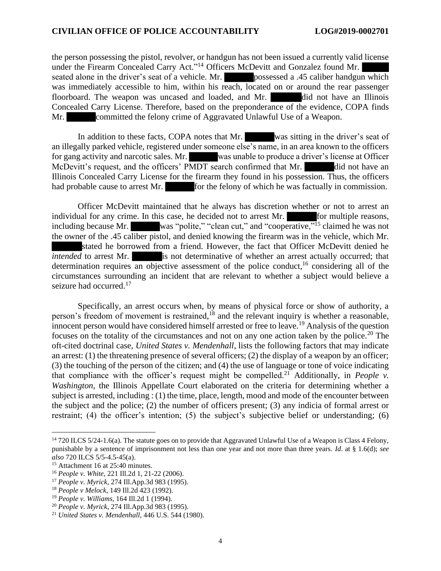#### CIVILIAN OFFICE OF POLICE ACCOUNTABILITY LOG#2019-0002701 **CIVILIAN OFFICE OF POLICE ACCOUNTABILITY LOG#2019-0002701**

the person possessing the pistol, revolver, or handgun has not been issued a currently valid license the person possessing the pistol, revolver, or handgun has not been issued a currently valid license under the Firearm Concealed Carry Act."<sup>14</sup> Officers McDevitt and Gonzalez found Mr. seated alone in the driver's seat of a vehicle. Mr. **possessed a** .45 caliber handgun which was immediately accessible to him, within his reach, located on or around the rear passenger floorboard. The weapon was uncased and loaded, and Mr. did not have an Illinois Concealed Carry License. Therefore, based on the preponderance of the evidence, COPA finds Mr. committed the felony crime of Aggravated Unlawful Use of a Weapon. under the Firearm Concealed Carry Act."<sup>14</sup> Officers McDevitt and Gonzalez found Mr.<br>seated alone in the driver's seat of a vehicle. Mr. **the possessed a** .45 caliber handgun which<br>was immediately accessible to him, within

Mr. Committed the felony crime of Aggravated Unlawful Use of a Weapon.<br>In addition to these facts, COPA notes that Mr. was sitting in the driver's seat of an illegally parked vehicle, registered under someone else's name, in an area known to the officers an illegally parked vehicle, registered under someone else's name, in an area known to the officers for gang activity and narcotic sales. Mr. was unable to produce a driver's license at Officer for gang activity and narcotic sales. Mr. was unable to produce a driver's license at Officer McDevitt's request, and the officers' PMDT search confirmed that Mr. did not have an Illinois Concealed Carry License for the firearm they found in his possession. Thus, the officers had probable cause to arrest Mr. for the felony of which he was factually in commission.

Officer McDevitt maintained that he always has discretion whether or not to arrest an individual for any crime. In this case, he decided not to arrest Mr. for multiple reasons, including because Mr. was "polite," "clean cut," and "cooperative,"<sup>15</sup> claimed he was not the owner of the .45 caliber pistol, and denied knowing the firearm was in the vehicle, which Mr. stated he borrowed from a friend. However, the fact that Officer McDevitt denied he *intended* to arrest Mr. **i**s not determinative of whether an arrest actually occurred; that determination requires an objective assessment of the police conduct,<sup>16</sup> considering all of the circumstances surrounding an incident that are relevant to whether a subject would believe a circumstances surrounding an incident that are relevant to whether a subject would believe a seizure had occurred.<sup>17</sup> seizure had occurred.<sup>17</sup> McDevitt's request, and the officers' PMDT search confirmed that Mr.<br>Illinois Concealed Carry License for the firearm they found in his possession. Thus, the officers<br>had probable cause to arrest Mr. **For the felony of whi** 

Specifically, an arrest occurs when, by means of physical force or show of authority, a Specifically, an arrest occurs when, by means of physical force or show of authority, a person's freedom of movement is restrained,<sup>18</sup> and the relevant inquiry is whether a reasonable, innocent person would have considered himself arrested or free to leave.<sup>19</sup> Analysis of the question focuses on the totality of the circumstances and not on any one action taken by the police.<sup>20</sup> The oft-cited doctrinal case, United States v. Mendenhall, lists the following factors that may indicate an arrest: (1) the threatening presence of several officers; (2) the display of a weapon by an officer; an arrest: (1) the threatening presence of several officers; (2) the display of a weapon by an officer; (3) the touching of the person of the citizen; and (4) the use of language or tone of voice indicating (3) the touching of the person of the citizen; and (4) the use of language or tone of voice indicating that compliance with the officer's request might be compelled.<sup>21</sup> Additionally, in *People v*. Washington, the Illinois Appellate Court elaborated on the criteria for determining whether a *Washington*, the Illinois Appellate Court elaborated on the criteria for determining whether a subject is arrested, including : (1) the time, place, length, mood and mode of the encounter between the subject and the police; (2) the number of officers present; (3) any indicia of formal arrest or the subject and the police; (2) the number of officers present; (3) any indicia of formal arrest or restraint; (4) the officer's intention; (5) the subject's subjective belief or understanding; (6) person's freedom of movement is restrained,<sup>18</sup> and the relevant inquiry is whether a reasonable,<br>innocent person would have considered himself arrested or free to leave.<sup>19</sup> Analysis of the question<br>focuses on the totalit

 $14$  720 ILCS 5/24-1.6(a). The statute goes on to provide that Aggravated Unlawful Use of a Weapon is Class 4 Felony, punishable by a sentence of imprisonment not less than one year and not more than three years. *Id.* at  $\S$  1.6(d); *see also* 720 ILCS 5/5-4.5-45(a). also 720 ILCS 5/5-4.5-45(a).

<sup>15</sup> Attachment 16 at 25:40 minutes. <sup>15</sup> Attachment 16 at 25:40 minutes.

<sup>16</sup> People v. White, 221 I11.2d 1, 21-22 (2006). <sup>16</sup> *People v. White*, 221 Ill.2d 1, 21-22 (2006).

<sup>17</sup> People v. Myrick, 274 Ill.App.3d 983 (1995). <sup>17</sup> *People v. Myrick*, 274 Ill.App.3d 983 (1995).

<sup>18</sup> People v Melock, 149 I11.2d 423 (1992). <sup>18</sup> *People v Melock*, 149 Ill.2d 423 (1992).

<sup>19</sup> People v. Williams, 164 I11.2d 1 (1994). <sup>19</sup> *People v. Williams*, 164 Ill.2d 1 (1994).

<sup>20</sup> People v. Myrick, 274 Ill.App.3d 983 (1995). <sup>20</sup> *People v. Myrick*, 274 Ill.App.3d 983 (1995).

<sup>21</sup> United States v. Mendenhall, 446 U.S. 544 (1980). <sup>21</sup> *United States v. Mendenhall*, 446 U.S. 544 (1980).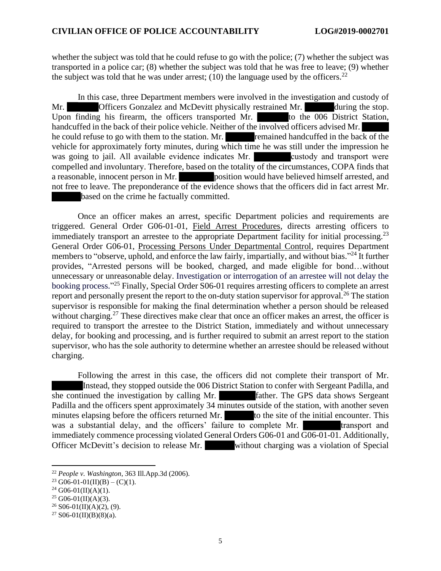whether the subject was told that he could refuse to go with the police; (7) whether the subject was transported in a police car; (8) whether the subject was told that he was free to leave; (9) whether the subject was told that he was under arrest; (10) the language used by the officers.<sup>22</sup> whether the subject was told that he could refuse to go with the police; (7) whether the subject was transported in a police car; (8) whether the subject was told that he was free to leave; (9) whether the subject was tol

In this case, three Department members were involved in the investigation and custody of In this case, three Department members were involved in the investigation and custody of Mr. **Officers Gonzalez and McDevitt physically restrained Mr. during the stop.** Mr. **Solution** Officers Gonzalez and McDevitt physically restrained Mr. **Conserversion** during the stop. Upon finding his firearm, the officers transported Mr. **Conserversion** to the 006 District Station, handcuffed in the back of their police vehicle. Neither of the involved officers advised Mr.<br>he could refuse to go with them to the station. Mr.<br>remained handcuffed in the back of the he could refuse to go with them to the station. Mr. remained handcuffed in the back of the vehicle for approximately forty minutes, during which time he was still under the impression he was going to jail. All available evidence indicates Mr. custody and transport were compelled and involuntary. Therefore, based on the totality of the circumstances, COPA finds that compelled and involuntary. Therefore, based on the totality of the circumstances, COPA finds that a reasonable, innocent person in Mr. position would have believed himself arrested, and not free to leave. The preponderance of the evidence shows that the officers did in fact arrest Mr. based on the crime he factually committed. a reasonable, innocent person in Mr.<br>not free to leave. The preponderance of the evidence shows that the officers did in fact arrest Mr.<br>based on the crime he factually committed.

Once an officer makes an arrest, specific Department policies and requirements are triggered. General Order G06-01-01, Field Arrest Procedures, directs arresting officers to Once an officer makes an arrest, specific Department policies and requirements are triggered. General Order G06-01-01, Field Arrest Procedures, directs arresting officers to immediately transport an arrestee to the appropr General Order G06-01, Processing Persons Under Departmental Control, requires Department members to "observe, uphold, and enforce the law fairly, impartially, and without bias."<sup>24</sup> It further provides, "Arrested persons will be booked, charged, and made eligible for bond...without unnecessary or unreasonable delay. Investigation or interrogation of an arrestee will not delay the booking process."25 Finally, Special Order S06-01 requires arresting officers to complete an arrest booking process."<sup>25</sup> Finally, Special Order S06-01 requires arresting officers to complete an arrest<br>report and personally present the report to the on-duty station supervisor for approval.<sup>26</sup> The station supervisor is responsible for making the final determination whether a person should be released supervisor is responsible for making the final determination whether a person should be released without charging.<sup>27</sup> These directives make clear that once an officer makes an arrest, the officer is required to transport the arrestee to the District Station, immediately and without unnecessary delay, for booking and processing, and is further required to submit an arrest report to the station supervisor, who has the sole authority to determine whether an arrestee should be released without charging. provides, "Arrested persons will be booked, charged, and made eligible for bond...without unnecessary or unreasonable delay. Investigation or interrogation of an arrestee will not delay the booking process."<sup>25</sup> Finally, S without charging.<sup>27</sup> These directives make clear that once an officer makes an arrest, the officer is required to transport the arrestee to the District Station, immediately and without unnecessary delay, for booking and

Following the arrest in this case, the officers did not complete their transport of Mr. charging.<br>Following the arrest in this case, the officers did not complete their transport of Mr.<br>Instead, they stopped outside the 006 District Station to confer with Sergeant Padilla, and she continued the investigation by calling Mr. father. The GPS data shows Sergeant Padilla and the officers spent approximately 34 minutes outside of the station, with another seven minutes elapsing before the officers returned Mr. to the site of the initial encounter. This was a substantial delay, and the officers' failure to complete Mr. transport and immediately commence processing violated General Orders G06-01 and G06-01-01. Additionally, Officer McDevitt's decision to release Mr. without charging was a violation of Special Padilla and the officers spent approximately 34 minutes outside of the station, with another seven<br>minutes elapsing before the officers returned Mr.<br>was a substantial delay, and the officers' failure to complete Mr.<br>immedi

<sup>22</sup> People v. Washington, 363 I11.App.3d (2006). <sup>22</sup> *People v. Washington*, 363 Ill.App.3d (2006).

<sup>&</sup>lt;sup>23</sup> G06-01-01(II)(B) – (C)(1).

<sup>&</sup>lt;sup>24</sup> G06-01(II)(A)(1).

 $25$  G06-01(II)(A)(3).

 $26$  S06-01(II)(A)(2), (9).

 $27$  S06-01(II)(B)(8)(a).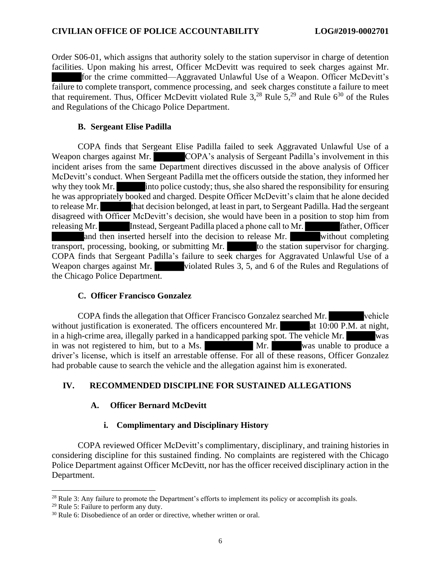#### CIVILIAN OFFICE OF POLICE ACCOUNTABILITY LOG#2019-0002701 **CIVILIAN OFFICE OF POLICE ACCOUNTABILITY LOG#2019-0002701**

Order S06-01, which assigns that authority solely to the station supervisor in charge of detention facilities. Upon making his arrest, Officer McDevitt was required to seek charges against Mr. for the crime committed—Aggravated Unlawful Use of a Weapon. Officer McDevitt's failure to complete transport, commence processing, and seek charges constitute a failure to meet failure to complete transport, commence processing, and seek charges constitute a failure to meet<br>that requirement. Thus, Officer McDevitt violated Rule  $3$ ,<sup>28</sup> Rule  $5$ ,<sup>29</sup> and Rule  $6^{30}$  of the Rules and Regulations of the Chicago Police Department. and Regulations of the Chicago Police Department. Order S06-01, which assigns that authority solely to the station supervisor in charge of detention facilities. Upon making his arrest, Officer McDevitt was required to seek charges against Mr.<br>for the crime committed—Aggra

#### B. Sergeant Elise Padilla **B. Sergeant Elise Padilla**

COPA finds that Sergeant Elise Padilla failed to seek Aggravated Unlawful Use of a COPA finds that Sergeant Elise Padilla failed to seek Aggravated Unlawful Use of a Weapon charges against Mr. COPA's analysis of Sergeant Padilla's involvement in this incident arises from the same Department directives discussed in the above analysis of Officer McDevitt's conduct. When Sergeant Padilla met the officers outside the station, they informed her why they took Mr. into police custody; thus, she also shared the responsibility for ensuring why they took Mr. into police custody; thus, she also shared the responsibility for ensuring<br>the was appropriately booked and charged. Despite Officer McDevitt's claim that he alone decided to release Mr. that decision belonged, at least in part, to Sergeant Padilla. Had the sergeant disagreed with Officer McDevitt's decision, she would have been in a position to stop him from releasing Mr. Instead, Sergeant Padilla placed a phone call to Mr. father, Officer and then inserted herself into the decision to release Mr. without completing transport, processing, booking, or submitting Mr. to the station supervisor for charging. to release Mr. **that decision belonged**, at least in part, to Sergeant Padilla. Had the sergeant disagreed with Officer McDevitt's decision, she would have been in a position to stop him from releasing Mr. Instead, Sergean Weapon charges against Mr. violated Rules 3, 5, and 6 of the Rules and Regulations of the Chicago Police Department. the Chicago Police Department. Weapon charges against Mr.<br>
COPA's analysis of Sergeant Padilla's involvement in this<br>
incident arises from the same Department directives discussed in the above analysis of Officer<br>
McDevitt's conduct. When Sergeant Padil

#### C. Officer Francisco Gonzalez **C. Officer Francisco Gonzalez**

COPA finds the allegation that Officer Francisco Gonzalez searched Mr. vehicle without justification is exonerated. The officers encountered Mr. <br>at 10:00 P.M. at night, in a high-crime area, illegally parked in a handicapped parking spot. The vehicle Mr. in was not registered to him, but to a Ms. Mr. Was unable to produce a driver's license, which is itself an arrestable offense. For all of these reasons, Officer Gonzalez driver's license, which is itself an arrestable offense. For all of these reasons, Officer Gonzalez had probable cause to search the vehicle and the allegation against him is exonerated. had probable cause to search the vehicle and the allegation against him is exonerated. COPA finds the allegation that Officer Francisco Gonzalez searched Mr.<br>without justification is exonerated. The officers encountered Mr.<br>in a high-crime area, illegally parked in a handicapped parking spot. The vehicle Mr.

## IV. RECOMMENDED DISCIPLINE FOR SUSTAINED ALLEGATIONS **IV. RECOMMENDED DISCIPLINE FOR SUSTAINED ALLEGATIONS**

## A. Officer Bernard McDevitt **A. Officer Bernard McDevitt**

### i. Complimentary and Disciplinary History **i. Complimentary and Disciplinary History**

COPA reviewed Officer McDevitt's complimentary, disciplinary, and training histories in COPA reviewed Officer McDevitt's complimentary, disciplinary, and training histories in<br>considering discipline for this sustained finding. No complaints are registered with the Chicago Police Department against Officer McDevitt, nor has the officer received disciplinary action in the Police Department against Officer McDevitt, nor has the officer received disciplinary action in the Department. Department.

 $28$  Rule 3: Any failure to promote the Department's efforts to implement its policy or accomplish its goals.

<sup>29</sup> Rule 5: Failure to perform any duty. <sup>29</sup> Rule 5: Failure to perform any duty.

<sup>30</sup> Rule 6: Disobedience of an order or directive, whether written or oral. <sup>30</sup> Rule 6: Disobedience of an order or directive, whether written or oral.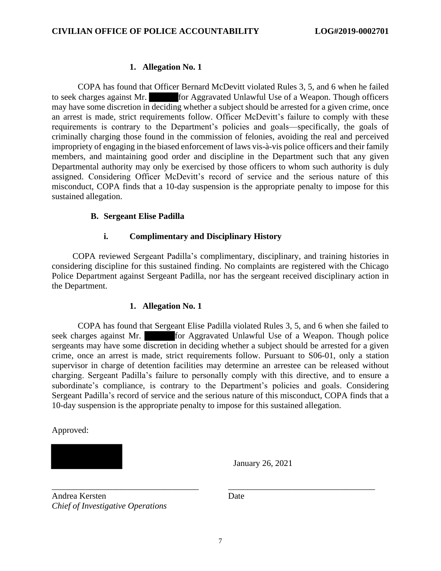# 1. Allegation No. 1 **1. Allegation No. 1**

COPA has found that Officer Bernard McDevitt violated Rules 3, 5, and 6 when he failed COPA has found that Officer Bernard McDevitt violated Rules 3, 5, and 6 when he failed<br>to seek charges against Mr. **The absolute Separated Unlawful Use of a Weapon**. Though officers may have some discretion in deciding whether a subject should be arrested for a given crime, once an arrest is made, strict requirements follow. Officer McDevitt's failure to comply with these may have some discretion in deciding whether a subject should be arrested for a given crime, once<br>an arrest is made, strict requirements follow. Officer McDevitt's failure to comply with these<br>requirements is contrary to t criminally charging those found in the commission of felonies, avoiding the real and perceived criminally charging those found in the commission of felonies, avoiding the real and perceived<br>impropriety of engaging in the biased enforcement of laws vis-à-vis police officers and their family members, and maintaining good order and discipline in the Department such that any given members, and maintaining good order and discipline in the Department such that any given Departmental authority may only be exercised by those officers to whom such authority is duly assigned. Considering Officer McDevitt's record of service and the serious nature of this misconduct, COPA finds that a 10-day suspension is the appropriate penalty to impose for this sustained allegation. Departmental authority may only be exercised by those officers to whom such authority is duly assigned. Considering Officer McDevitt's record of service and the serious nature of this misconduct, COPA finds that a 10-day s

### B. Sergeant Elise Padilla **B. Sergeant Elise Padilla**

## i. Complimentary and Disciplinary History **i. Complimentary and Disciplinary History**

COPA reviewed Sergeant Padilla's complimentary, disciplinary, and training histories in considering discipline for this sustained finding. No complaints are registered with the Chicago Police Department against Sergeant Padilla, nor has the sergeant received disciplinary action in the Department. COPA reviewed Sergeant Padilla's complimentary, disciplinary, and training histories in considering discipline for this sustained finding. No complaints are registered with the Chicago Police Department against Sergeant Pa

# 1. Allegation No. 1 **1. Allegation No. 1**

COPA has found that Sergeant Elise Padilla violated Rules 3, 5, and 6 when she failed to seek charges against Mr. for Aggravated Unlawful Use of a Weapon. Though police COPA has found that Sergeant Elise Padilla violated Rules 3, 5, and 6 when she failed to seek charges against Mr. **The Example 1** for Aggravated Unlawful Use of a Weapon. Though police sergeants may have some discretion in crime, once an arrest is made, strict requirements follow. Pursuant to S06-01, only a station crime, once an arrest is made, strict requirements follow. Pursuant to S06-01, only a station supervisor in charge of detention facilities may determine an arrestee can be released without charging. Sergeant Padilla's failure to personally comply with this directive, and to ensure a subordinate's compliance, is contrary to the Department's policies and goals. Considering Sergeant Padilla's record of service and the serious nature of this misconduct, COPA finds that a 10-day suspension is the appropriate penalty to impose for this sustained allegation. 10-day suspension is the appropriate penalty to impose for this sustained allegation. supervisor in charge of detention facilities may determine an arrestee can be released without<br>charging. Sergeant Padilla's failure to personally comply with this directive, and to ensure a<br>subordinate's compliance, is con

Approved: Approved:

January 26, 2021 January 26, 2021

Andrea Kersten Date Andrea Kersten Chief of Investigative Operations *Chief of Investigative Operations*

Date

\_\_\_\_\_\_\_\_\_\_\_\_\_\_\_\_\_\_\_\_\_\_\_\_\_\_\_\_\_\_\_\_\_\_ \_\_\_\_\_\_\_\_\_\_\_\_\_\_\_\_\_\_\_\_\_\_\_\_\_\_\_\_\_\_\_\_\_\_